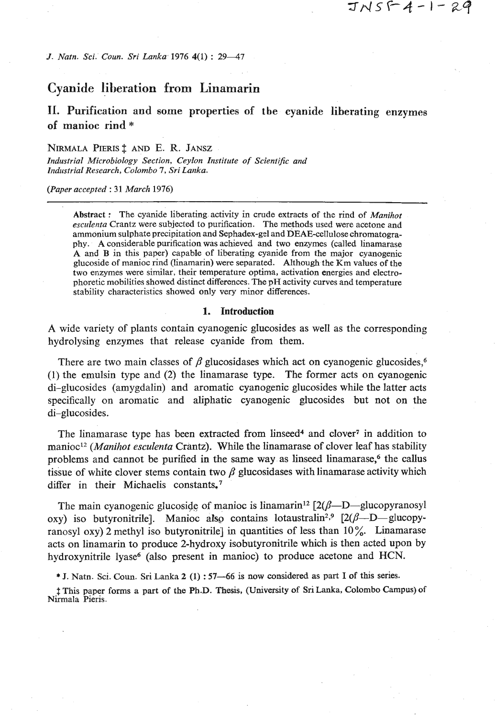# $JNSF4-1-29$

*J. Natn. Sci. Coun. Sri Lanka* 1976  $4(1)$ : 29-47

# **Cyanide liljeration from Linamarin**

**11.** Purification **and** some properties of **tbe** cyanide liberating enzymes of manioc rind \*

#### **NIRMALA PIERIS <sup>†</sup> AND E. R. JANSZ**

*Zndustrial Microbiology Section, Ceylon Institute of Scientific and Industrial Research, Colombo* 7, *Sri Lanka.* 

#### *(Paper accepted* : *31 March* 1976)

Abstract : The cyanide liberating activity in crude extracts of the rind of *Manihot esculenta* Crantz were subjected to purification. The methods used were acetone and ammonium sulphate precipitation and Sephadex-gd and DEAE-cellulose chromatography. A considerable purification was achieved and two enzymes (called linamarase A and B in this paper) capable of liberating cyanide from the major cyanogenic glucoside of manioc rind (linamarin) were separated. Although the Km values of the two enzymes were similar, their temperature optima, activation energies and electrophoretic mobilities showed distinct differences. The pH activity **curves** and temperature stability characteristics showed only very minor differences.

#### **1. Introduction**

**A** wide variety of plants contain cyanogenic glucosides as well as the corresponding hydrolysing enzymes that release cyanide from them.

There are two main classes of  $\beta$  glucosidases which act on evanogenic glucosides.<sup>6</sup> (1) the emulsin type and (2) the linamarase type. The former acts on cyanogenic di-glucosides (amygdalin) and aromatic cyanogenic glucosides while the latter acts specifically on aromatic and aliphatic cyanogenic glucosides but not on the di-glucosides.

The linamarase type has been extracted from linseed<sup>4</sup> and clover<sup>7</sup> in addition to manioc<sup>12</sup> (Manihot esculenta Crantz). While the linamarase of clover leaf has stability problems and cannot be purified in the same way as linseed linamarase,<sup>6</sup> the callus tissue of white clover stems contain two  $\beta$  glucosidases with linamarase activity which differ in their Michaelis constants.<sup>7</sup>

The main cyanogenic glucoside of manioc is linamarin<sup>12</sup>  $[2(\beta-D)$ -glucopyranosyl oxy) iso butyronitrile]. Manioc also contains lotaustralin<sup>2,9</sup>  $[2(\beta-D-glucopy$ ranosyl oxy) 2 methyl iso butyronitrile] in quantities of less than 10%. Linamarase acts on linamarin to produce 2-hydroxy isobutyronitrile which is then acted upon by hydroxynitrile lyase<sup>6</sup> (also present in manioc) to produce acetone and HCN.

\* J. Natn. Sci. Coun. **Sri** Lanka 2 **(1)** : 57-66 is now considered as part I of this series.

\$ This paper forms a part of the **Ph.D.** Thesis, (University of SriLanka, Colombo Campus) of Nirmala Pieris.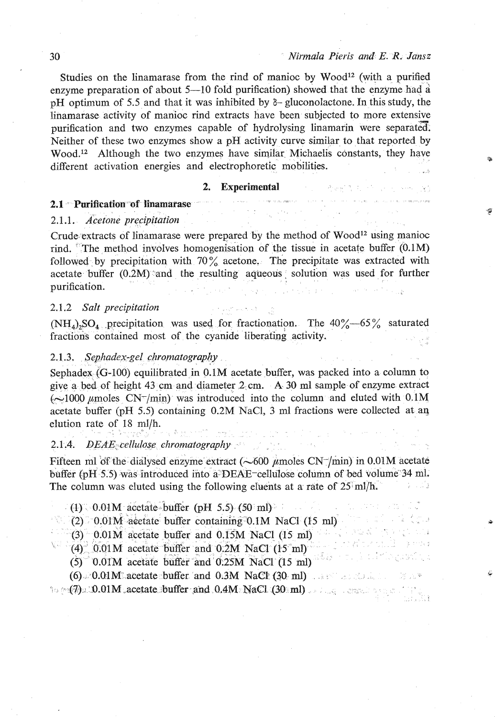#### 30 *Nirmala Pieris and E. R. Jansz*

I !

poderne vzerič

Studies on the linamarase from the rind of manioc by  $Wood<sup>12</sup>$  (with a purified enzyme preparation of about  $5-10$  fold purification) showed that the enzyme had a pH optimum of 5.5 and that it was inhibited by **6-** gluconolactone. In this study, the linamarase activity of manioc rind extracts have been subjected to more extensive purification and two enzymes capable of hydrolysing linamarin were separated. Neither of these two enzymes show a pH activity curve similar to that reported by Wood.12 Although the two enzymes have similar Michaelis constants, they have different activation energies and electrophoretic mobilities.

#### **2. Experimental**

# **2.** Experimental and the setting of the **2.1 Purification of linamarase 2.1** *2.1 2.1 2.1 2.1 2.1 2.1* **<b>***2.1 2.1 2.1 2.1* **<b>***2.1 2.1 2.1 2.1* **<b>***2.1 2.1 2.1 2.1* **<b>**

#### 2.1 .l. *Acetone precipitation*

Crude extracts of linamarase were prepared by the method of  $Wood<sup>12</sup>$  using manioc rind. The method involves homogenisation of the tissue in acetate buffer  $(0.1M)$ followed by precipitation with  $70\%$  acetone. The precipitate was extracted with acetate buffer  $(0.2M)$  and the resulting aqueous solution was used for further purification. **Contractor** Products

#### 2.1.2 *Salt precipitation*

 $(NH_4)$ , SO<sub>4</sub> precipitation was used for fractionation. The  $40\%$  -65% saturated fractions contained most of the cyanide liberating activity.

#### 2.1.3. Sephadex-gel chromatography

Sephadex  $\zeta$ G-100) equilibrated in 0.1M acetate buffer, was packed into a column to give a bed of height 43 cm and diameter 2 cm. **A.** 30 ml sample of enzyme extract  $(\sim 1000 \mu \text{moles CN-/min})$  was introduced into the column and eluted with 0.1M acetate buffer (pH 5.5) containing 0.2M NaC1, *3* ml fractions were collected at aq elution rate of 18 ml/h.

#### 2.1.4. *DEAE cellulose chromatography*

Fifteen ml of the dialysed enzyme extract  $(-600 \mu \text{moles CN} -/\text{min})$  in 0.01M acetate buffer (pH 5.5) was introduced into a DEAE-cellulose column of bed volume 34 ml. The column was eluted using the following eluents at a rate of  $25 \text{ m}$ /h.

 $(1)$ , 0.01M acetate-buffer (pH 5.5) (50 ml)

(2) 0.01 $\mathbf{M}$  actate buffer containing 0.1 $\mathbf{M}$  NaCl (15 ml)  $(3.01\text{ N}\cdot\text{m})$ 

**(3)** 0.01M acetate buffer and 0.15M NaCl (15 ml)

 $r_1$   $r_2$   $r_3$   $r_4$   $r_5$   $r_6$   $r_7$   $r_8$   $r_9$   $r_9$   $r_1$   $r_2$   $r_3$   $r_4$   $r_5$   $r_6$   $r_7$   $r_8$   $r_9$   $r_1$   $r_2$   $r_3$   $r_4$   $r_5$   $r_7$   $r_8$   $r_9$   $r_9$   $r_9$   $r_1$   $r_2$   $r_3$   $r_4$   $r_5$   $r_7$   $r_8$   $r_9$ 

 $(5)$ <sup> $\degree$ </sup> 0.01M acetate buffer and 0.25M NaCl (15 ml)

 $(6)$  **0.01M acetate buffer and 0.3M NaCP**  $(30 \text{ ml})$  **just and**  $(30 \text{ ml})$ % - ,I , **f- ((-79** ,I '9.OlM ,acetate buffer .a& O.BM **MaCl.** (30 8 ml) . . .,, . , . .a **<sup>i</sup>**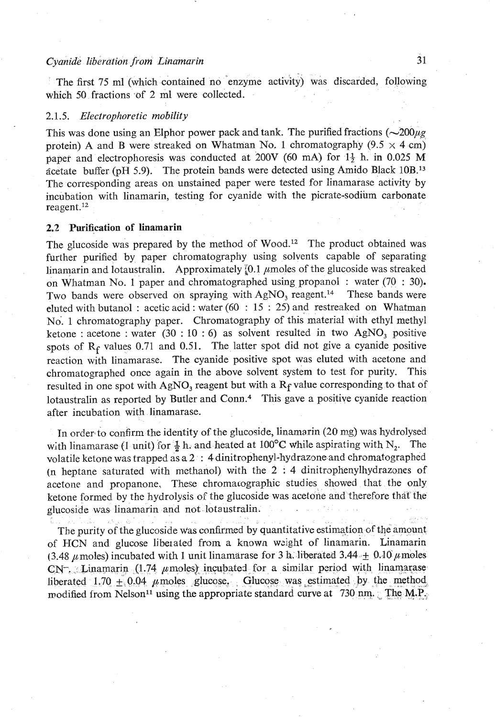## *Cyanide libergtion from Linamarin* **3** 1

The first 75 ml (which contained no enzyme activity) was discarded, following which 50 fractions of 2 ml were collected.

#### 2.1.5. *Electrophoretic mobility*

This was done using an Elphor power pack and tank. The purified fractions  $(\sim 200 \mu g$ protein) A and B were streaked on Whatman No. 1 chromatography (9.5  $\times$  4 cm) paper and electrophoresis was conducted at **200V** (60 **mA)** for 13 h. in 0.025 M acetate buffer (pH 5.9). The protein bands were detected using Amido Black  $10B^{13}$ The corresponding areas on unstained paper were tested for linamarase activity by incubation with linamarin, testing for cyanide with the picrate-sodium carbonate reagent.<sup>12</sup>

## **2.2** Purification **of** linamarin

The glucoside was prepared by the method of Wood.<sup>12</sup> The product obtained was further purified by paper chromatography using solvents capable of separating linamarin and lotaustralin. Approximately  $\Omega$ .  $\mu$  moles of the glucoside was streaked on Whatman No. 1 paper and chromatographed using propanol : water  $(70 : 30)$ .<br>Two bands were observed on spraving with AgNO, reagent.<sup>14</sup> These bands were Two bands were observed on spraying with AgNO, reagent.<sup>14</sup> eluted with butanol : acetic acid : water (60 : 15 : 25) and restreaked on Whatman No. 1 chromatography paper. Chromatography of this material with ethyl methyl ketone : acetone : water (30 : 10 : *6)* as solvent resulted in two AgNO, positive spots of  $R_f$  values 0.71 and 0.51. The latter spot did not give a cyanide positive reaction with linamarase. The cyanide positive spot was eluted with acetone and chromatographed once again in the above solvent system to test for purity. This resulted in one spot with AgNO, reagent but with a **Rf** value corresponding to that of lotaustralin as reported by Butler and Conn.<sup>4</sup> This gave a positive cyanide reaction after incubation with linamarase.

In order to confirm the identity of the glucoside, linamarin (20 mg) was hydrolysed with linamarase (1 unit) for  $\frac{1}{2}$  h. and heated at 100°C while aspirating with N<sub>2</sub>. The volatile ketone was trapped as a 2 : 4 dinitrophenyl-hydrazone and chromatographed (n heptane saturated with methanol) with the  $2 : 4$  dinitrophenylhydrazones of acetone and propanone. These chromatographic studies showed that the only ketone formed by the hydrolysis of the glucoside was acetone and therefore that the glucoside was linamarin and not lotaustralin.

The purity of the glucoside was confirmed by quantitative estimation of the amount of HCN and glucose liberated from a known weight of linamarin. Linamarin (3.48  $\mu$  moles) incubated with 1 unit linamarase for 3 **h**. liberated 3.44 $\pm$  0.10  $\mu$  moles  $CN^-$ . Linamarin (1.74  $\mu$  moles) incubated for a similar period with linamarase liberated 1.70  $\pm$  0.04  $\mu$  moles glucose. Glucose was estimated by the method, modified from Nelson<sup>11</sup> using the appropriate standard curve at 730 nm. **The M.P.**;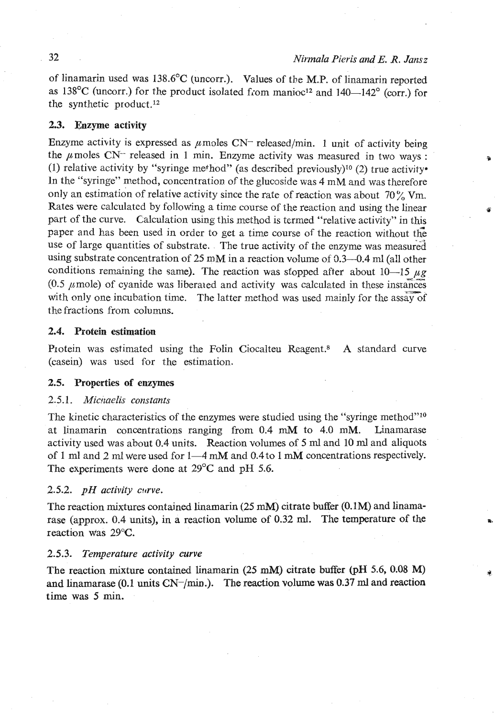of linamarin used was 138.6"C (uncorr.). Values of the M.P. of linamarin reported as  $138^{\circ}$ C (uncorr.) for the product isolated from manioc<sup>12</sup> and  $140-142^{\circ}$  (corr.) for the synthetic product.12

#### **3.3.** Enzyme activity

Enzyme activity is expressed as  $\mu$  moles CN- released/min. 1 unit of activity being the  $\mu$  moles CN<sup>--</sup> released in 1 min. Enzyme activity was measured in two ways : (1) relative activity by "syringe method" (as described previously)<sup>10</sup> (2) true activity<sup>\*</sup> In the "syringe" method, concentration of the glucoside was 4 mM and was therefore only an estimation of relative activity since the rate of reaction was about **70%** Vm. Rates were calculated by following a time course of the reaction and using the linear **<sup>35</sup>** part of the curve. Calculation using this method is termed "relative activity" in this paper and has been used in order to get a time course of the reaction without the use of large quantities of substrate. The true activity of the enzyme was measured using substrate concentration of 25 mM in a reaction volume of  $0.3-0.4$  ml (all other conditions remaining the same). The reaction was stopped after about 10-15  $\mu$ g (0.5  $\mu$  mole) of cyanide was liberated and activity was calculated in these instances with only one incubation time. The latter method was used mainly for the assay of the fractions from columns.

#### 2.4. Protein estimation

Protein was estimated using the Folin Ciocalteu Reagent.<sup>8</sup> A standard curve (casein) was used for the estimation.

#### 2.5. Properties of enzymes

#### 2.5.1. *Micnaelis constants*

The kinetic characteristics of the enzymes were studied using the "syringe method"<sup>10</sup> at linamarin concentrations ranging from  $0.4$  mM to  $4.0$  mM. Linamarase activity used was about 0.4 units. Reaction volumes of 5 ml and 10 **ml** and aliquots of 1 ml and 2 ml were used for 1-4 mM and 0.4 to 1 **mM** concentrations respectively. The experiments were done at 29°C and pH **5.6.** 

#### 2.5.2. *pH activity curve.*

The reaction mixtures contained linamarin **(25 mM)** citrate **buffer (0.1M)** and linamarase (approx. 0.4 units), in a reaction volume of **0.32** ml. The temperature of the reaction Was *29°C.* 

#### **2.5.3.** *Temperature activity curve*

The reaction mixture contained linamarin **(25** mM) citrate buffer **(pH** 5.6, 0.08 M) and linamarase (0.1 units  $CN$ -/min.). The reaction volume was 0.37 ml and reaction time was **5** min.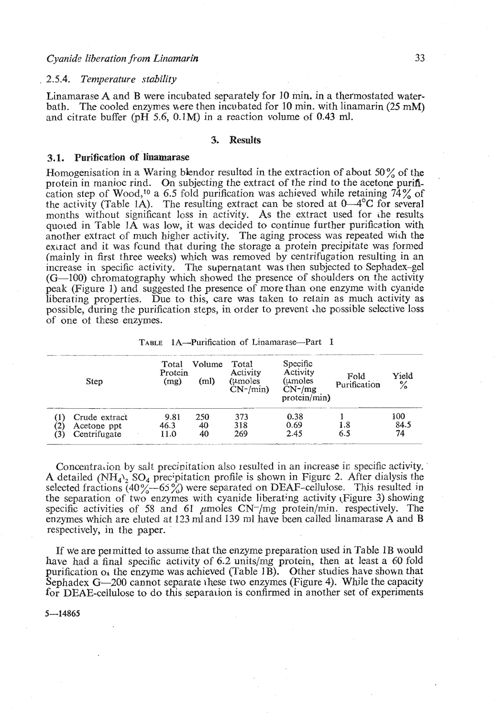#### *Cyanide liberation from Linamarin 33*

#### *2.5.4. Temperature stability*

Linamarase A and B were incubated separately for 10 min. in a thermostated waterbath. The cooled enzymes mere then incubated for 10 min. with linamarin (25 mM) and citrate buffer (pH 5.6, 0.1M) in a reaction volume of 0.43 ml.

#### **3. Results**

#### **3.1.** Purification **of linamarase**

Homogenisation in a Waring blendor resulted in the extraction of about 50% of the protein in manioc rind. On subjecting the extract of the rind to the acetone purification step of Wood,<sup>10</sup> a 6.5 fold purification was achieved while retaining 74% of the activity (Table 1A). The resulting extract can be stored at  $0-4^{\circ}C$  for several months without significant loss in activity. As the extract used for he results quoted in Table **IA** was low, it was decided to continue further purification with another extract of much higher activity. The aging process was repeated with the extract and it was found that during the storage a protein precipitate was formed (mainly in first three weeks) which was removed by centrifugation resulting in an increase in specific activity. The supernatant was then subjected to Sephadex-gel (G-100) chromatography which showed the presence of shoulders on the activity peak (Figure **1)** and suggested the presence of more than one enzyme with cyanide liberating properties. Due to this, care was taken to retain as much activity as possible, during the purification steps, in order to prevent he possible selective loss of one of these enzymes. increase in specific activity. The supernatant was then subjected to Sephadex-gel<br>
(G-100) chromatography which showed the presence of shoulders on the activity<br>
peak (Figure 1) and suggested the presence of more than one

| Step                                         | Total<br>Protein<br>(mg) | Volume<br>(ml)  | Total<br>Activity<br>$(\mu$ moles<br>$CN-/min)$ | Specific<br>Activity<br>(umoles<br>$CN$ -/mg<br>protein/min) | Fold<br>Purification | Yield<br>$\%$     |
|----------------------------------------------|--------------------------|-----------------|-------------------------------------------------|--------------------------------------------------------------|----------------------|-------------------|
| Crude extract<br>Acetone ppt<br>Centrifugate | 9.81<br>46.3<br>11.0     | 250<br>40<br>40 | 373<br>318<br>269                               | 0.38<br>0.69<br>2.45                                         | 1.8<br>6.5           | 100<br>84.5<br>74 |

Concentration by salt precipitation also resulted in an increase in specific activity. **A** detailed (NH<sub>4</sub>)<sub>2</sub> SO<sub>4</sub> precipitation profile is shown in Figure 2. After dialysis the selected fractions  $(40\% - 65\%)$  were separated on DEAF-cellulose. This resulted in the separation of two enzymes with cyanide liberating activity (Figure 3) showing specific activities of 58 and 61  $\mu$ moles CN-/mg protein/min. respectively. The enzymes which are eluted at 123 ml and 139 **ml** have been called linamarase **A** and B respectively, in the paper.

If we are permitted to assume that the enzyme preparation used in Table 1B would have had a final specific activity of *6.2* units/mg protein, then at least a 60 fold purification  $o_i$  the enzyme was achieved (Table 1B). Other studies have shown that Sephadex  $G-200$  cannot separate these two enzymes (Figure 4). While the capacity for DEAE-cellulose to do this separation is confirmed in another set of experiments

 $5 - 14865$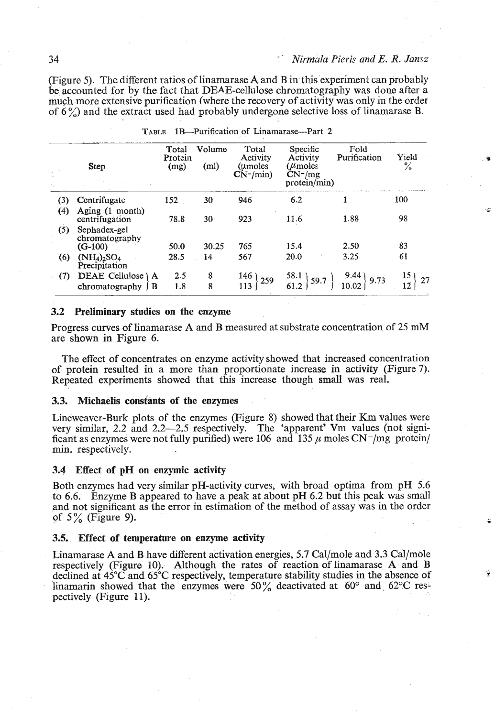(Figure 5). The different ratios of linamarase **A** and B in this experiment can probably be accounted for by the fact that DEAE-cellulose chromatography was done after **a**  much more extensive purification (where the recovery of activity was only in the order of  $6\%$ ) and the extract used had probably undergone selective loss of linamarase B.

|     | <b>Step</b>                                  | Total<br>Protein<br>(mg) | Volume<br>(m <sub>l</sub> ) | Total<br>Activity<br>(umoles<br>$CN-/min)$ | Specific<br>Activity<br>$(\mu_{\text{moles}})$<br>$CN^{-}/mg$<br>protein/min) | Fold<br>Purification | Yield<br>$\frac{6}{10}$ |
|-----|----------------------------------------------|--------------------------|-----------------------------|--------------------------------------------|-------------------------------------------------------------------------------|----------------------|-------------------------|
| (3) | Centrifugate                                 | 152                      | 30                          | 946                                        | 6.2                                                                           |                      | 100                     |
| (4) | Aging (1 month)<br>centrifugation            | 78.8                     | 30                          | 923                                        | 11.6                                                                          | 1.88                 | 98                      |
| (5) | Sephadex-gel<br>chromatography               | 50.0                     | 30.25                       | 765                                        | 15.4                                                                          | 2.50                 | 83                      |
| (6) | $(G-100)$<br>$(NH_4)_2SO_4$<br>Precipitation | 28.5                     | 14                          | 567                                        | 20.0                                                                          | 3.25                 | 61                      |
| (7) | DEAE Cellulose \ A                           | 2.5                      | 8                           | 146)<br>259                                | 58.1<br>59.7                                                                  | 9.44)<br>9.73        | 15 ۱<br>27              |
|     | B<br>chromatography                          | 1.8                      | 8                           | 113                                        |                                                                               | 10.02                | 12.                     |

**TABLE 1B-Purification of Linamarase-Part 2** 

#### **3.2 Preliminary studies on the enzyme**

Progress curves of linamarase **A** and B measured at substrate concentration of 25 **mM**  are shown in Figure 6.

The effect of concentrates on enzyme activity showed that increased concentration of protein resulted in a more than proportionate increase in activity (Figure 7). Repeated experiments showed that this increase though small was real.

#### **3.3. Michaelis constants of the enzymes**

Lineweaver-Burk plots of the enzymes (Figure 8) showed that their **Km** values were very similar, 2.2 and 2.2-2.5 respectively. The 'apparent' Vm values (not significant as enzymes were not fully purified) were 106 and  $\hat{1}$ 35  $\mu$  moles CN<sup>-</sup>/mg protein/ min. respectively.

#### **3.4 Effect of pH on enzymic activity**

Both enzymes had very similar pH-activity curves, with broad optima from pH 5.6 to 6.6. Enzyme B appeared to have a peak at about pH 6.2 but this peak was small and not significant as the error in estimation of the method of assay was in the order of  $5\%$  (Figure 9).

#### **3.5. Effect of temperature on enzyme activity**

Linamarase **A** and B have different activation energies, 5.7 Cal/mole and **3.3** Cal/mole respectively (Figure 10). Although the rates of reaction of linamarase **A** and B declined at  $45^{\circ}$ C and  $65^{\circ}$ C respectively, temperature stability studies in the absence of linamarin showed that the enzymes were 50% deactivated at 60° and 62°C respectively (Figure 11).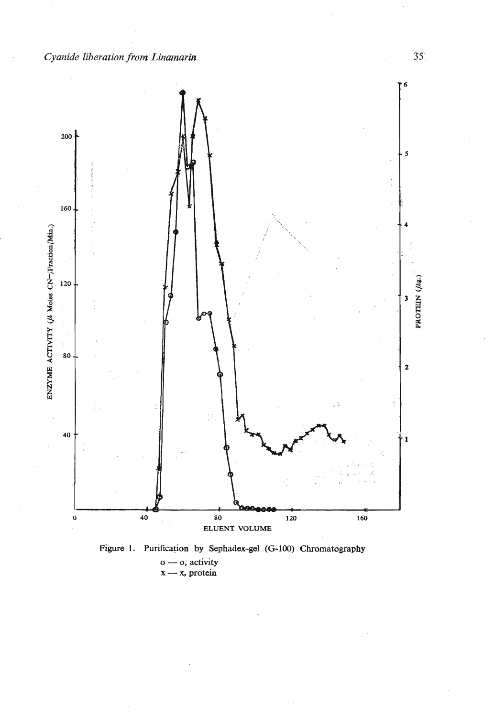



 $35^\circ$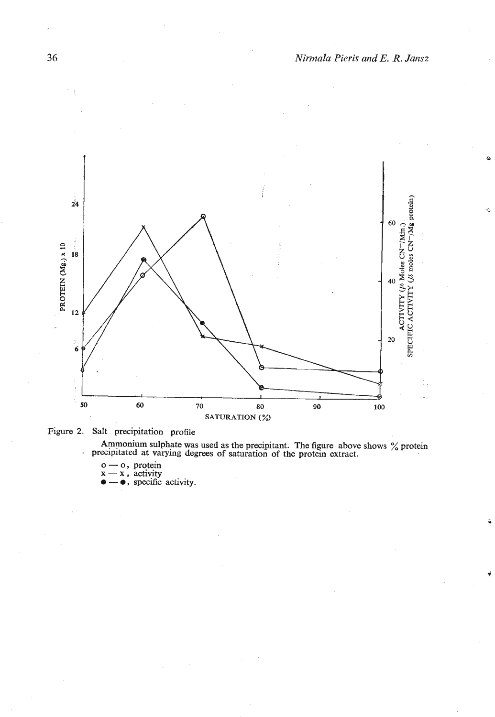

**Figure 2. Salt precipitation profile** 

**Ammonium sulphate was used as the precipitant. The figure above shows**  $\%$  **protein precipitated at varying degrees of saturation of the protein extract.**  $\sigma \to 0$ **, protein**  $\mathbf{x} = \mathbf{x}$ **, activity** 

**c** computated at varying degion-<br>  $x - x$ , activity<br> **a** - **e**, specific activity.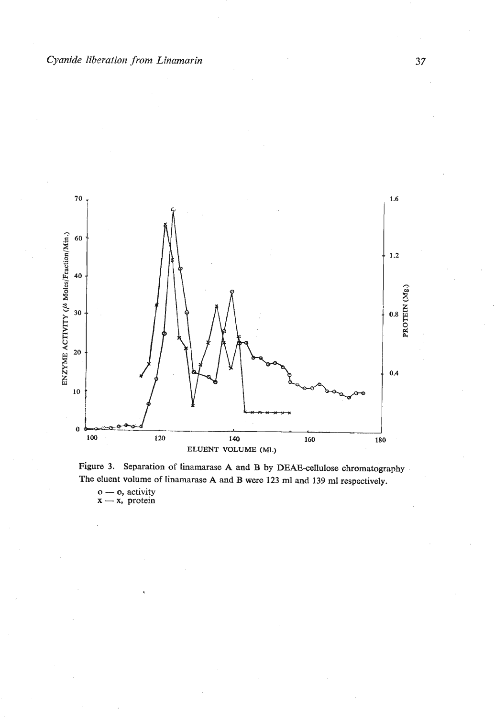



 $\mathbf{o}$  - **o**, activity  $\mathbf{x}$  - **x**, protein

37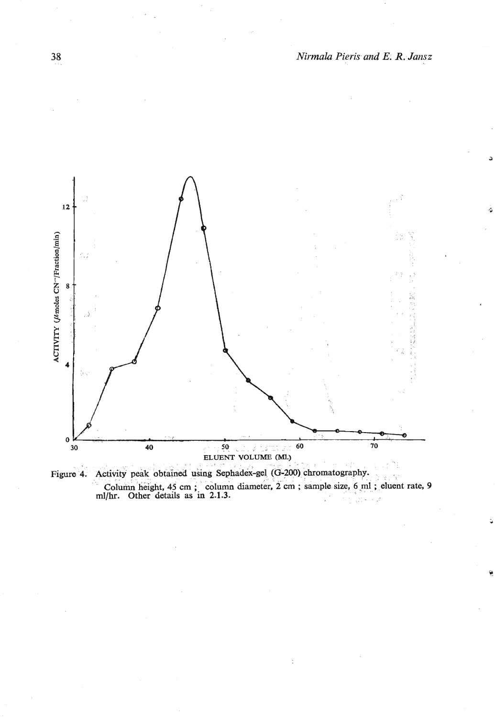

Column height, 45 cm; column diameter, 2 cm; sample size, 6 ml; eluent rate, 9 ml/hr. Other details as in 2.1.3. Figure 4. Activity peak obtained using Sephadex-gel (G-200) chromatography.

38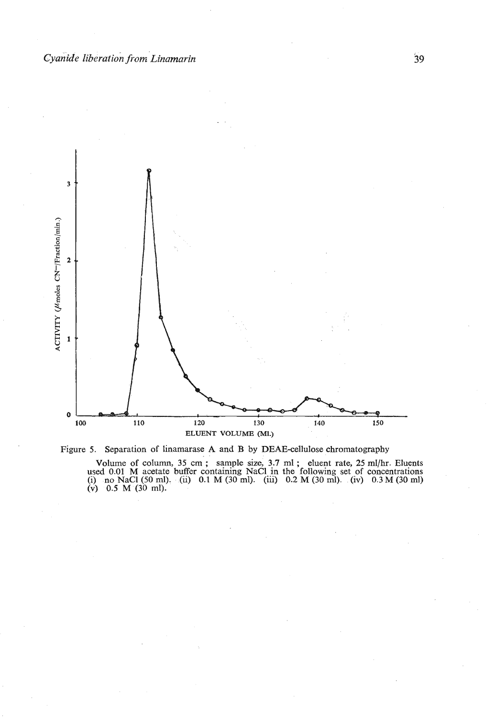



Volume of column, 35 cm; sample size, 3.7 ml; eluent rate, 25 ml/hr. Eluents<br>used 0.01 M acetate buffer containing NaCl in the following set of concentrations<br>(i) no NaCl (50 ml). (ii) 0.1 M (30 ml). (iii) 0.2 M (30 ml). **(v) 0.5 M (30 ml).**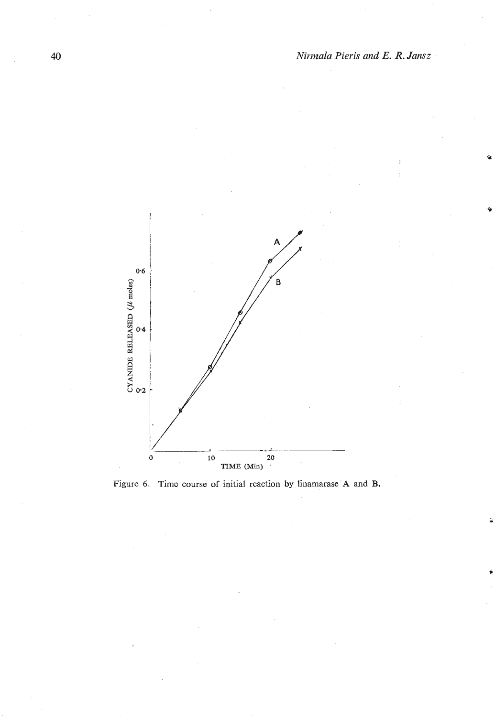

Figure 6. Time course of initial reaction by linamarase A and B.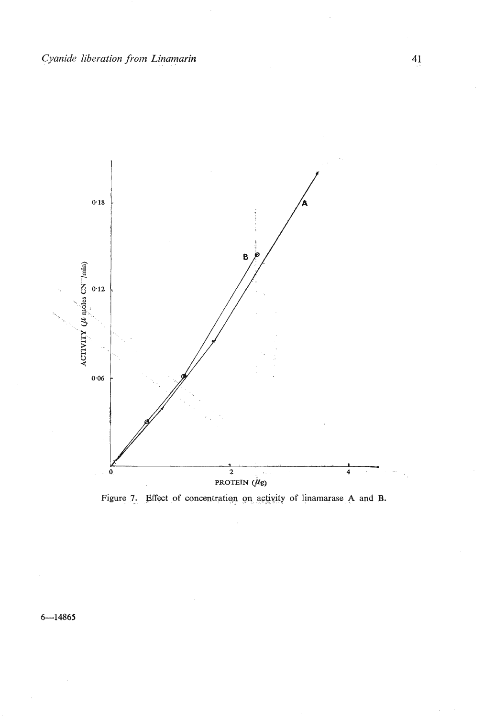

Figure 7. Effect of concentration on activity of linamarase A and B.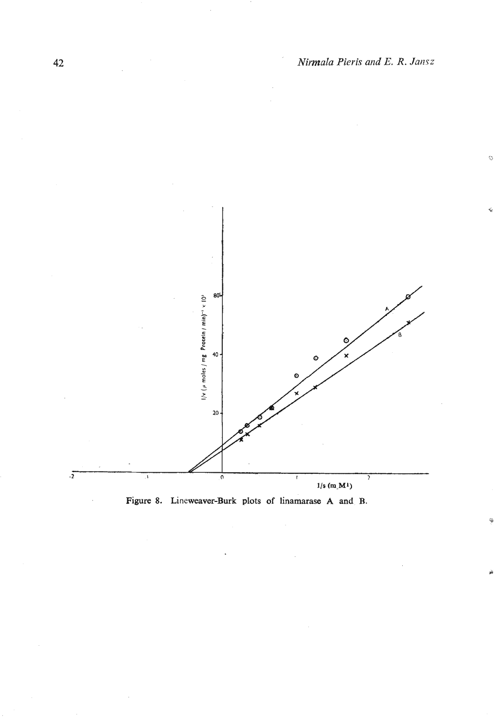ķ,



Figure 8. Lineweaver-Burk plots of linamarase A and B.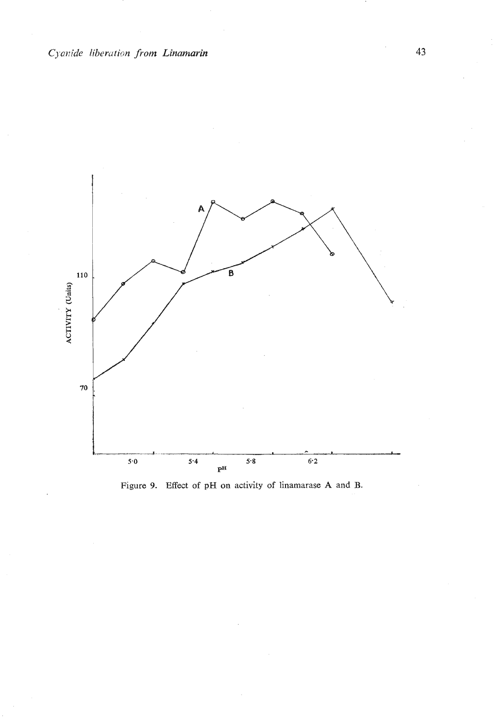

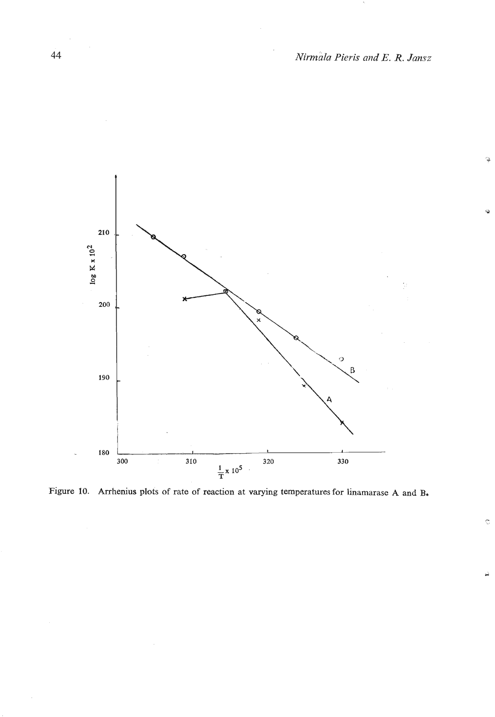$\alpha$ 

Ġ

 $\mathbb C$ 



**Figure 10. Arrhenius plots of rate of reaction at varying temperatures for linamarase A and B.**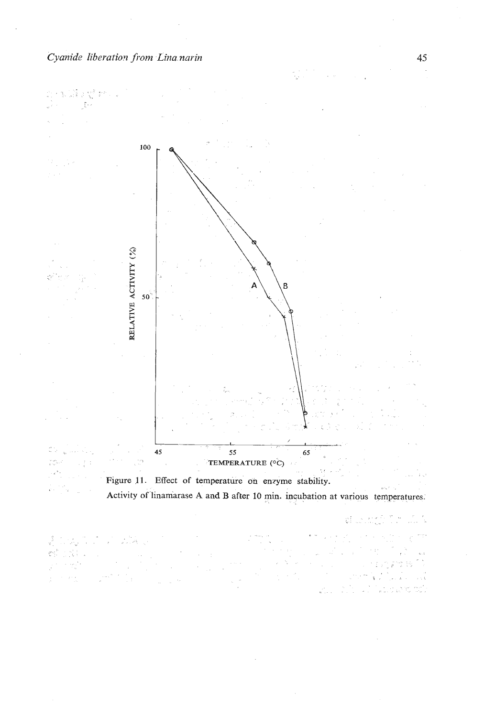¢j



N.

45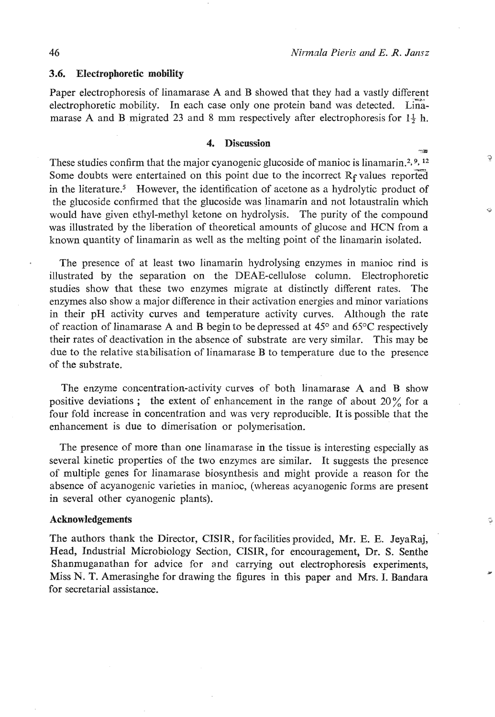Õ

Ġ

#### **3.6.** Electrophoretic mobility

Paper electrophoresis of linamarase A and B showed that they had a vastly different electrophoretic mobility. In each case only one protein band was detected. Limamarase A and B migrated 23 and 8 mm respectively after electrophoresis for  $1\frac{1}{2}$  h.

# **4.** Discussion **a a a a a a a a**

These studies confirm that the major cyanogenic glucoside of manioc is linamarin.<sup>2, 9, 12</sup> Some doubts were entertained on this point due to the incorrect  $R_f$  values reported in the literature.<sup>5</sup> However, the identification of acetone as a hydrolytic product of the glucoside confirmed that the glucoside was linamarin and not lotaustralin which would have given ethyl-methyl ketone on hydrolysis. The purity of the compound was illustrated by the liberation of theoretical amounts of glucose and **HCN** from a known quantity of linamarin as well as the melting point of the linamarin isolated.

The presence of at least two linamarin hydrolysing enzymes in manioc rind is illustrated by the separation on the DEAE-cellulose column. Electrophoretic studies show that these two enzymes migrate at distinctly different rates. The enzymes also show a major difference in their activation energies and minor variations in their pH activity curves and temperature activity curves. Although the rate of reaction of linamarase A and B begin to be depressed at  $45^{\circ}$  and  $65^{\circ}$ C respectively their rates of deactivation in the absence of substrate are very similar. This may be due to the relative stabilisation of linamarase B to temperature due to the presence of the substrate.

The enzyme concentration-activity curves of both linamarase **A** and B show positive deviations; the extent of enhancement in the range of about  $20\%$  for a four fold increase in concentration and was very reproducible. It is possible that the enhancement is due to dimerisation or polymerisation.

The presence of more than one linamarase in the tissue is interesting especially as several kinetic properties of the two enzymes are similar. It suggests the presence of multiple genes for linamarase biosynthesis and might provide a reason for the absence of acyanogenic varieties in manioc, (whereas acyanogenic forms are present in several other cyanogenic plants).

#### **Acknowledgements**

The authors thank the Director, CISIR, for facilities provided, Mr. E. E. JeyaRaj, Head, Industrial Microbiology Section, CISIR, for encouragement, Dr. S. Senthe Shanmuganathan for advice for and carrying out electrophoresis experiments, Miss N. T. Amerasinghe for drawing the figures in this paper and Mrs. I. Bandara for secretarial assistance.